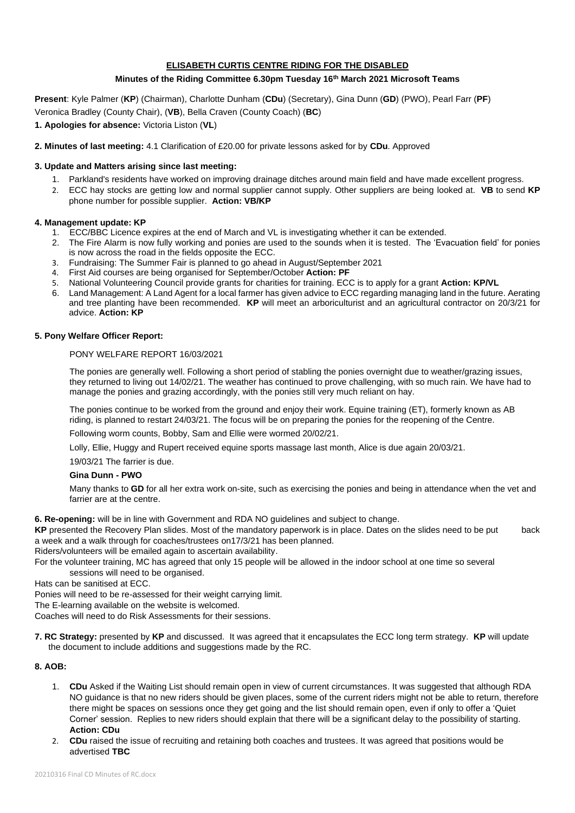# **ELISABETH CURTIS CENTRE RIDING FOR THE DISABLED**

## **Minutes of the Riding Committee 6.30pm Tuesday 16th March 2021 Microsoft Teams**

**Present**: Kyle Palmer (**KP**) (Chairman), Charlotte Dunham (**CDu**) (Secretary), Gina Dunn (**GD**) (PWO), Pearl Farr (**PF**) Veronica Bradley (County Chair), (**VB**), Bella Craven (County Coach) (**BC**)

## **1. Apologies for absence:** Victoria Liston (**VL**)

### **2. Minutes of last meeting:** 4.1 Clarification of £20.00 for private lessons asked for by **CDu**. Approved

## **3. Update and Matters arising since last meeting:**

- 1. Parkland's residents have worked on improving drainage ditches around main field and have made excellent progress.
- 2. ECC hay stocks are getting low and normal supplier cannot supply. Other suppliers are being looked at. **VB** to send **KP**  phone number for possible supplier. **Action: VB/KP**

### **4. Management update: KP**

- 1. ECC/BBC Licence expires at the end of March and VL is investigating whether it can be extended.
- 2. The Fire Alarm is now fully working and ponies are used to the sounds when it is tested. The 'Evacuation field' for ponies is now across the road in the fields opposite the ECC.
- 3. Fundraising: The Summer Fair is planned to go ahead in August/September 2021
- 4. First Aid courses are being organised for September/October **Action: PF**
- 5. National Volunteering Council provide grants for charities for training. ECC is to apply for a grant **Action: KP/VL**
- 6. Land Management: A Land Agent for a local farmer has given advice to ECC regarding managing land in the future. Aerating and tree planting have been recommended. **KP** will meet an arboriculturist and an agricultural contractor on 20/3/21 for advice. **Action: KP**

#### **5. Pony Welfare Officer Report:**

#### PONY WELFARE REPORT 16/03/2021

The ponies are generally well. Following a short period of stabling the ponies overnight due to weather/grazing issues, they returned to living out 14/02/21. The weather has continued to prove challenging, with so much rain. We have had to manage the ponies and grazing accordingly, with the ponies still very much reliant on hay.

The ponies continue to be worked from the ground and enjoy their work. Equine training (ET), formerly known as AB riding, is planned to restart 24/03/21. The focus will be on preparing the ponies for the reopening of the Centre.

Following worm counts, Bobby, Sam and Ellie were wormed 20/02/21.

Lolly, Ellie, Huggy and Rupert received equine sports massage last month, Alice is due again 20/03/21.

19/03/21 The farrier is due.

#### **Gina Dunn - PWO**

Many thanks to **GD** for all her extra work on-site, such as exercising the ponies and being in attendance when the vet and farrier are at the centre.

**6. Re-opening:** will be in line with Government and RDA NO guidelines and subject to change.

**KP** presented the Recovery Plan slides. Most of the mandatory paperwork is in place. Dates on the slides need to be put back a week and a walk through for coaches/trustees on17/3/21 has been planned.

Riders/volunteers will be emailed again to ascertain availability.

For the volunteer training, MC has agreed that only 15 people will be allowed in the indoor school at one time so several sessions will need to be organised.

Hats can be sanitised at ECC.

Ponies will need to be re-assessed for their weight carrying limit.

The E-learning available on the website is welcomed.

Coaches will need to do Risk Assessments for their sessions.

**7. RC Strategy:** presented by **KP** and discussed. It was agreed that it encapsulates the ECC long term strategy. **KP** will update the document to include additions and suggestions made by the RC.

# **8. AOB:**

- 1. **CDu** Asked if the Waiting List should remain open in view of current circumstances. It was suggested that although RDA NO guidance is that no new riders should be given places, some of the current riders might not be able to return, therefore there might be spaces on sessions once they get going and the list should remain open, even if only to offer a 'Quiet Corner' session. Replies to new riders should explain that there will be a significant delay to the possibility of starting. **Action: CDu**
- 2. **CDu** raised the issue of recruiting and retaining both coaches and trustees. It was agreed that positions would be advertised **TBC**